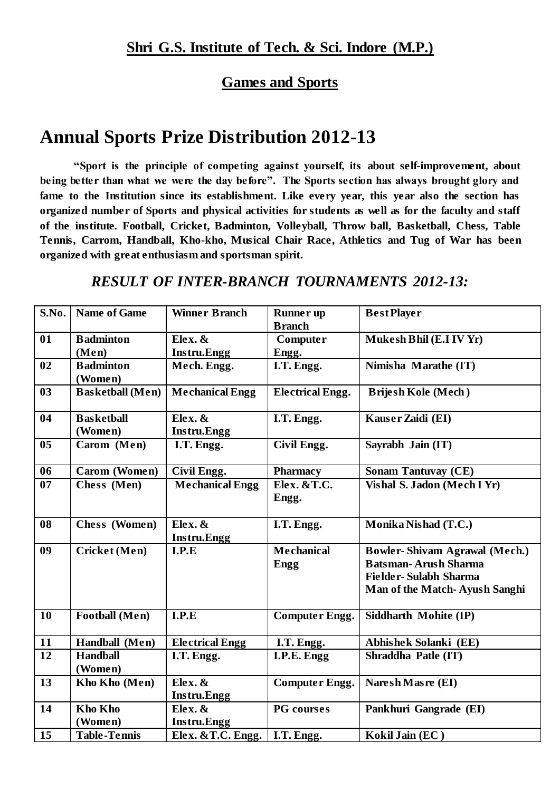#### **Games and Sports**

### **Annual Sports Prize Distribution 2012-13**

**"Sport is the principle of competing against yourself, its about self-improvement, about being better than what we were the day before". The Sports section has always brought glory and fame to the Institution since its establishment. Like every year, this year also the section has organized number of Sports and physical activities for students as well as for the faculty and staff of the institute. Football, Cricket, Badminton, Volleyball, Throw ball, Basketball, Chess, Table Tennis, Carrom, Handball, Kho-kho, Musical Chair Race, Athletics and Tug of War has been organized with great enthusiasm and sportsman spirit.**

#### *RESULT OF INTER-BRANCH TOURNAMENTS 2012-13:*

| S.No.           | Name of Game                 | <b>Winner Branch</b>          | <b>Runner</b> up<br><b>Branch</b>          | <b>Best Player</b>                                                                                                                   |
|-----------------|------------------------------|-------------------------------|--------------------------------------------|--------------------------------------------------------------------------------------------------------------------------------------|
| 01              | <b>Badminton</b><br>(Men)    | Elex. &<br><b>Instru.Engg</b> | <b>Computer</b><br>Engg.                   | Mukesh Bhil (E.I IV Yr)                                                                                                              |
| 02              | <b>Badminton</b><br>(Women)  | Mech. Engg.                   | I.T. Engg.                                 | Nimisha Marathe (IT)                                                                                                                 |
| 03              | <b>Basketball</b> (Men)      | <b>Mechanical Engg</b>        | <b>Electrical Engg.</b>                    | <b>Brijesh Kole (Mech)</b>                                                                                                           |
| 04              | <b>Basketball</b><br>(Women) | Elex. &<br><b>Instru.Engg</b> | I.T. Engg.                                 | Kauser Zaidi (EI)                                                                                                                    |
| 0 <sub>5</sub>  | Carom (Men)                  | I.T. Engg.                    | Civil Engg.                                | Sayrabh Jain (IT)                                                                                                                    |
| 06              | Carom (Women)                | Civil Engg.                   | <b>Pharmacy</b>                            | <b>Sonam Tantuvay (CE)</b>                                                                                                           |
| $\overline{07}$ | Chess (Men)                  | <b>Mechanical Engg</b>        | Elex. &T.C.<br>Engg.                       | Vishal S. Jadon (Mech I Yr)                                                                                                          |
| 08              | Chess (Women)                | Elex. &<br>Instru.Engg        | I.T. Engg.                                 | Monika Nishad (T.C.)                                                                                                                 |
| 09              | Cricket (Men)                | I.P.E                         | <b>Mechanical</b><br><b>Engg</b>           | <b>Bowler-Shivam Agrawal (Mech.)</b><br><b>Batsman-Arush Sharma</b><br><b>Fielder-Sulabh Sharma</b><br>Man of the Match-Ayush Sanghi |
| 10              | <b>Football</b> (Men)        | I.P.E                         | <b>Computer Engg.</b>                      | Siddharth Mohite (IP)                                                                                                                |
| 11              | Handball (Men)               | <b>Electrical Engg</b>        | I.T. Engg.                                 | <b>Abhishek Solanki (EE)</b>                                                                                                         |
| $\overline{12}$ | <b>Handball</b><br>(Women)   | I.T. Engg.                    | $\overline{\mathbf{I.P.}}\mathbf{E.}$ Engg | Shraddha Patle (IT)                                                                                                                  |
| 13              | Kho Kho (Men)                | Elex. &<br><b>Instru.Engg</b> | <b>Computer Engg.</b>                      | <b>Naresh Masre (EI)</b>                                                                                                             |
| 14              | <b>Kho Kho</b><br>(Women)    | Elex. &<br><b>Instru.Engg</b> | <b>PG</b> courses                          | Pankhuri Gangrade (EI)                                                                                                               |
| 15              | <b>Table-Tennis</b>          | Elex. & T.C. Engg.            | I.T. Engg.                                 | Kokil Jain (EC)                                                                                                                      |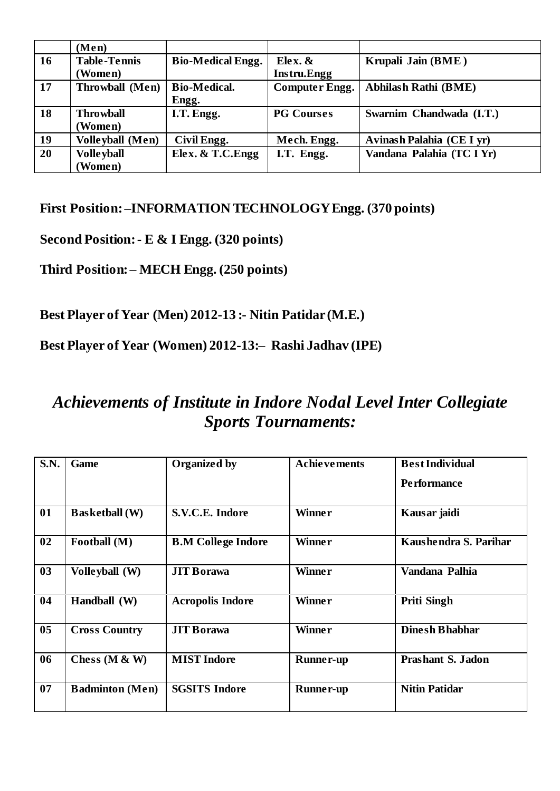|                 | (Men)                   |                          |                       |                             |
|-----------------|-------------------------|--------------------------|-----------------------|-----------------------------|
| $\vert$ 16      | <b>Table-Tennis</b>     | <b>Bio-Medical Engg.</b> | Elex. $\&$            | Krupali Jain (BME)          |
|                 | (Women)                 |                          | <b>Instru.Engg</b>    |                             |
| $\sqrt{17}$     | Throwball (Men)         | <b>Bio-Medical.</b>      | <b>Computer Engg.</b> | <b>Abhilash Rathi (BME)</b> |
|                 |                         | Engg.                    |                       |                             |
| $\sqrt{18}$     | <b>Throwball</b>        | I.T. Engg.               | <b>PG Courses</b>     | Swarnim Chandwada (I.T.)    |
|                 | (Women)                 |                          |                       |                             |
| $\vert$ 19      | <b>Volleyball</b> (Men) | Civil Engg.              | Mech. Engg.           | Avinash Palahia (CE I yr)   |
| $\overline{20}$ | <b>Volle yball</b>      | Elex. & T.C. Engg        | I.T. Engg.            | Vandana Palahia (TC I Yr)   |
|                 | <b>Women</b> )          |                          |                       |                             |

**First Position: –INFORMATION TECHNOLOGY Engg. (370 points)**

**Second Position: - E & I Engg. (320 points)** 

**Third Position: – MECH Engg. (250 points)** 

**Best Player of Year (Men) 2012-13 :- Nitin Patidar (M.E.)**

**Best Player of Year (Women) 2012-13:– Rashi Jadhav (IPE)**

## *Achievements of Institute in Indore Nodal Level Inter Collegiate Sports Tournaments:*

| S.N.           | Game                   | <b>Organized by</b>       | <b>Achievements</b> | <b>Best Individual</b>   |
|----------------|------------------------|---------------------------|---------------------|--------------------------|
|                |                        |                           |                     | <b>Performance</b>       |
| 01             | <b>Basketball</b> (W)  | S.V.C.E. Indore           | <b>Winner</b>       | Kausar jaidi             |
| 02             | Football (M)           | <b>B.M College Indore</b> | <b>Winner</b>       | Kaushendra S. Parihar    |
| 03             | Volleyball (W)         | <b>JIT Borawa</b>         | <b>Winner</b>       | Vandana Palhia           |
| 04             | Handball (W)           | <b>Acropolis Indore</b>   | <b>Winner</b>       | <b>Priti Singh</b>       |
| 0 <sub>5</sub> | <b>Cross Country</b>   | <b>JIT Borawa</b>         | <b>Winner</b>       | <b>Dinesh Bhabhar</b>    |
| 06             | Chess ( $M \& W$ )     | <b>MIST Indore</b>        | <b>Runner-up</b>    | <b>Prashant S. Jadon</b> |
| 07             | <b>Badminton</b> (Men) | <b>SGSITS Indore</b>      | <b>Runner-up</b>    | <b>Nitin Patidar</b>     |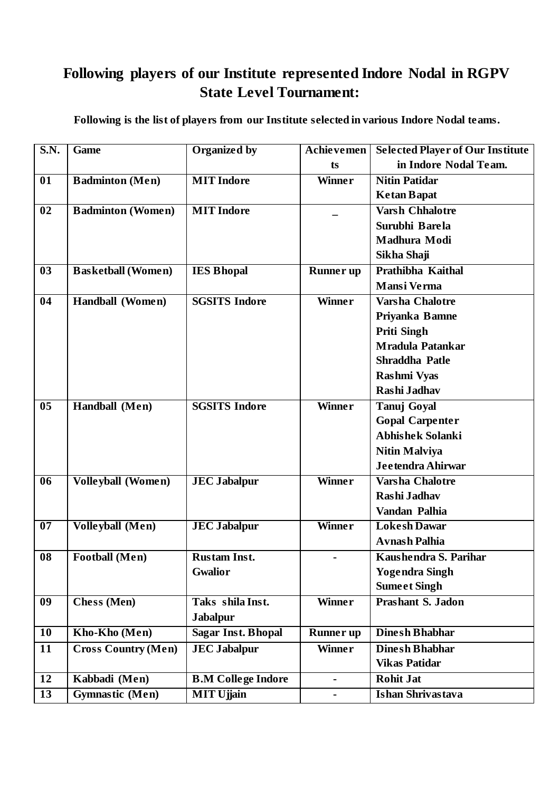#### **Following players of our Institute represented Indore Nodal in RGPV State Level Tournament:**

**Following is the list of players from our Institute selected in various Indore Nodal teams.** 

| S.N.            | Game                       | <b>Organized by</b>       | <b>Achievemen</b>            | <b>Selected Player of Our Institute</b> |
|-----------------|----------------------------|---------------------------|------------------------------|-----------------------------------------|
|                 |                            |                           | ts                           | in Indore Nodal Team.                   |
| 01              | <b>Badminton (Men)</b>     | <b>MIT</b> Indore         | <b>Winner</b>                | <b>Nitin Patidar</b>                    |
|                 |                            |                           |                              | <b>Ketan Bapat</b>                      |
| 02              | <b>Badminton (Women)</b>   | <b>MIT</b> Indore         |                              | <b>Varsh Chhalotre</b>                  |
|                 |                            |                           |                              | Surubhi Barela                          |
|                 |                            |                           |                              | Madhura Modi                            |
|                 |                            |                           |                              | Sikha Shaji                             |
| 03              | <b>Basketball</b> (Women)  | <b>IES Bhopal</b>         | <b>Runner</b> up             | Prathibha Kaithal                       |
|                 |                            |                           |                              | <b>Mansi Verma</b>                      |
| 04              | Handball (Women)           | <b>SGSITS Indore</b>      | <b>Winner</b>                | <b>Varsha Chalotre</b>                  |
|                 |                            |                           |                              | Priyanka Bamne                          |
|                 |                            |                           |                              | <b>Priti Singh</b>                      |
|                 |                            |                           |                              | <b>Mradula Patankar</b>                 |
|                 |                            |                           |                              | Shraddha Patle                          |
|                 |                            |                           |                              | <b>Rashmi Vyas</b>                      |
|                 |                            |                           |                              | Rashi Jadhav                            |
| 0 <sub>5</sub>  | Handball (Men)             | <b>SGSITS Indore</b>      | <b>Winner</b>                | <b>Tanuj Goyal</b>                      |
|                 |                            |                           |                              | <b>Gopal Carpenter</b>                  |
|                 |                            |                           |                              | <b>Abhishek Solanki</b>                 |
|                 |                            |                           |                              | <b>Nitin Malviya</b>                    |
|                 |                            |                           |                              | Jeetendra Ahirwar                       |
| 06              | <b>Volleyball (Women)</b>  | <b>JEC Jabalpur</b>       | <b>Winner</b>                | <b>Varsha Chalotre</b>                  |
|                 |                            |                           |                              | Rashi Jadhav                            |
|                 |                            |                           |                              | Vandan Palhia                           |
| $\overline{07}$ | <b>Volleyball</b> (Men)    | <b>JEC Jabalpur</b>       | Winner                       | <b>Lokesh Dawar</b>                     |
|                 |                            |                           |                              | <b>Avnash Palhia</b>                    |
| 08              | <b>Football</b> (Men)      | <b>Rustam Inst.</b>       | $\blacksquare$               | Kaushendra S. Parihar                   |
|                 |                            | <b>Gwalior</b>            |                              | <b>Yogendra Singh</b>                   |
|                 |                            |                           |                              | <b>Sumeet Singh</b>                     |
| 09              | <b>Chess</b> (Men)         | Taks shila Inst.          | Winner                       | <b>Prashant S. Jadon</b>                |
|                 |                            | <b>Jabalpur</b>           |                              |                                         |
| $\overline{10}$ | Kho-Kho (Men)              | <b>Sagar Inst. Bhopal</b> | <b>Runner</b> up             | <b>Dinesh Bhabhar</b>                   |
| 11              | <b>Cross Country (Men)</b> | <b>JEC Jabalpur</b>       | <b>Winner</b>                | <b>Dinesh Bhabhar</b>                   |
|                 |                            |                           |                              | <b>Vikas Patidar</b>                    |
| 12              | Kabbadi (Men)              | <b>B.M College Indore</b> | $\qquad \qquad \blacksquare$ | <b>Rohit Jat</b>                        |
| $\overline{13}$ | <b>Gymnastic (Men)</b>     | <b>MIT Ujjain</b>         | $\blacksquare$               | <b>Ishan Shrivastava</b>                |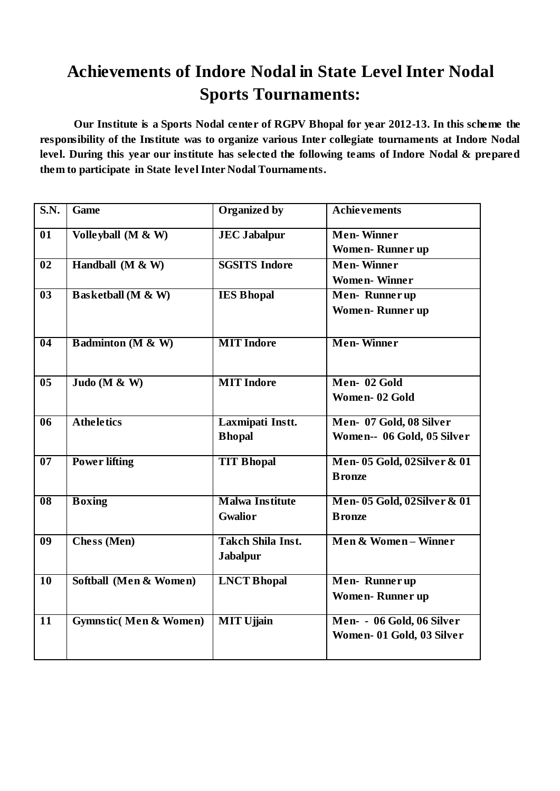# **Achievements of Indore Nodal in State Level Inter Nodal Sports Tournaments:**

**Our Institute is a Sports Nodal center of RGPV Bhopal for year 2012-13. In this scheme the responsibility of the Institute was to organize various Inter collegiate tournaments at Indore Nodal level. During this year our institute has selected the following teams of Indore Nodal & prepared them to participate in State level Inter Nodal Tournaments.**

| <b>S.N.</b>                | <b>Game</b>                      | <b>Organized by</b>                         | <b>Achievements</b>                                    |
|----------------------------|----------------------------------|---------------------------------------------|--------------------------------------------------------|
| 01                         | Volleyball (M & W)               | <b>JEC Jabalpur</b>                         | <b>Men-Winner</b><br><b>Women-Runner up</b>            |
| 02                         | Handball (M & W)                 | <b>SGSITS Indore</b>                        | <b>Men-Winner</b><br><b>Women-Winner</b>               |
| $\overline{\overline{03}}$ | <b>Basketball</b> (M & W)        | <b>IES Bhopal</b>                           | Men-Runnerup<br><b>Women-Runner up</b>                 |
| $\overline{04}$            | <b>Badminton (M &amp; W)</b>     | <b>MIT</b> Indore                           | <b>Men-Winner</b>                                      |
| 0 <sub>5</sub>             | Judo (M & W)                     | <b>MIT</b> Indore                           | Men-02 Gold<br>Women-02 Gold                           |
| $\overline{06}$            | <b>Atheletics</b>                | Laxmipati Instt.<br><b>Bhopal</b>           | Men- 07 Gold, 08 Silver<br>Women-- 06 Gold, 05 Silver  |
| $\overline{07}$            | <b>Power lifting</b>             | <b>TIT Bhopal</b>                           | Men-05 Gold, 02Silver & 01<br><b>B</b> ronze           |
| $\overline{08}$            | <b>Boxing</b>                    | <b>Malwa Institute</b><br><b>Gwalior</b>    | Men- 05 Gold, 02Silver & 01<br><b>Bronze</b>           |
| 09                         | <b>Chess</b> (Men)               | <b>Takch Shila Inst.</b><br><b>Jabalpur</b> | Men & Women-Winner                                     |
| 10                         | Softball (Men & Women)           | <b>LNCT Bhopal</b>                          | Men-Runnerup<br><b>Women-Runner up</b>                 |
| $\overline{11}$            | <b>Gymnstic(Men &amp; Women)</b> | <b>MIT Ujjain</b>                           | Men- - 06 Gold, 06 Silver<br>Women- 01 Gold, 03 Silver |